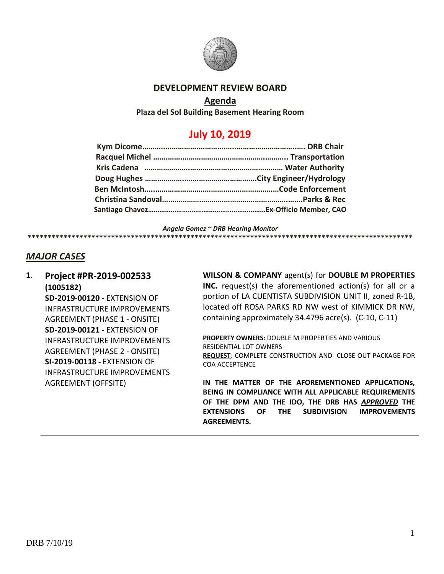

#### **DEVELOPMENT REVIEW BOARD**

#### **Agenda**

**Plaza del Sol Building Basement Hearing Room**

# **July 10, 2019**

*Angela Gomez ~ DRB Hearing Monitor*

**\*\*\*\*\*\*\*\*\*\*\*\*\*\*\*\*\*\*\*\*\*\*\*\*\*\*\*\*\*\*\*\*\*\*\*\*\*\*\*\*\*\*\*\*\*\*\*\*\*\*\*\*\*\*\*\*\*\*\*\*\*\*\*\*\*\*\*\*\*\*\*\*\*\*\*\*\*\*\*\*\*\*\*\*\*\*\*\*\*\*\*\*\*\*\*\*\***

### *MAJOR CASES*

**1**. **Project #PR-2019-002533 (1005182) SD-2019-00120 -** EXTENSION OF INFRASTRUCTURE IMPROVEMENTS AGREEMENT (PHASE 1 - ONSITE) **SD-2019-00121 -** EXTENSION OF INFRASTRUCTURE IMPROVEMENTS AGREEMENT (PHASE 2 - ONSITE) **SI-2019-00118 -** EXTENSION OF INFRASTRUCTURE IMPROVEMENTS AGREEMENT (OFFSITE)

**WILSON & COMPANY** agent(s) for **DOUBLE M PROPERTIES INC.** request(s) the aforementioned action(s) for all or a portion of LA CUENTISTA SUBDIVISION UNIT II, zoned R-1B, located off ROSA PARKS RD NW west of KIMMICK DR NW, containing approximately 34.4796 acre(s). (C-10, C-11)

**PROPERTY OWNERS**: DOUBLE M PROPERTIES AND VARIOUS RESIDENTIAL LOT OWNERS **REQUEST**: COMPLETE CONSTRUCTION AND CLOSE OUT PACKAGE FOR COA ACCEPTENCE

**IN THE MATTER OF THE AFOREMENTIONED APPLICATIONs, BEING IN COMPLIANCE WITH ALL APPLICABLE REQUIREMENTS OF THE DPM AND THE IDO, THE DRB HAS** *APPROVED* **THE EXTENSIONS OF THE SUBDIVISION IMPROVEMENTS AGREEMENTS.**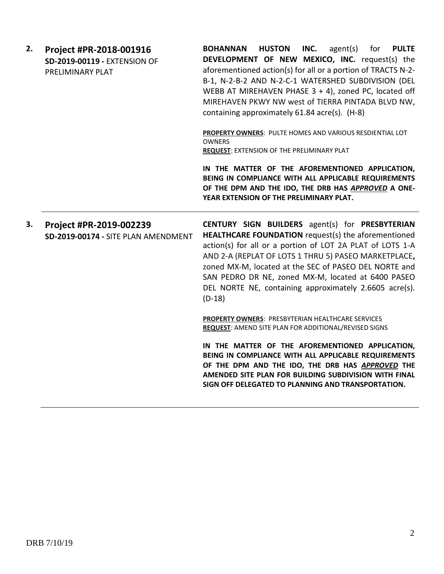| 2. | Project #PR-2018-001916<br>SD-2019-00119 - EXTENSION OF<br>PRELIMINARY PLAT | <b>BOHANNAN</b><br><b>HUSTON</b><br>INC.<br>agent(s)<br>for<br><b>PULTE</b><br>DEVELOPMENT OF NEW MEXICO, INC. request(s) the<br>aforementioned action(s) for all or a portion of TRACTS N-2-<br>B-1, N-2-B-2 AND N-2-C-1 WATERSHED SUBDIVISION (DEL<br>WEBB AT MIREHAVEN PHASE $3 + 4$ ), zoned PC, located off<br>MIREHAVEN PKWY NW west of TIERRA PINTADA BLVD NW,<br>containing approximately 61.84 acre(s). (H-8)<br>PROPERTY OWNERS: PULTE HOMES AND VARIOUS RESDIENTIAL LOT<br><b>OWNERS</b><br>REQUEST: EXTENSION OF THE PRELIMINARY PLAT<br>IN THE MATTER OF THE AFOREMENTIONED APPLICATION,<br>BEING IN COMPLIANCE WITH ALL APPLICABLE REQUIREMENTS<br>OF THE DPM AND THE IDO, THE DRB HAS APPROVED A ONE- |
|----|-----------------------------------------------------------------------------|----------------------------------------------------------------------------------------------------------------------------------------------------------------------------------------------------------------------------------------------------------------------------------------------------------------------------------------------------------------------------------------------------------------------------------------------------------------------------------------------------------------------------------------------------------------------------------------------------------------------------------------------------------------------------------------------------------------------|
| 3. | Project #PR-2019-002239<br>SD-2019-00174 - SITE PLAN AMENDMENT              | YEAR EXTENSION OF THE PRELIMINARY PLAT.<br><b>CENTURY SIGN BUILDERS</b> agent(s) for <b>PRESBYTERIAN</b><br>HEALTHCARE FOUNDATION request(s) the aforementioned<br>action(s) for all or a portion of LOT 2A PLAT of LOTS 1-A<br>AND 2-A (REPLAT OF LOTS 1 THRU 5) PASEO MARKETPLACE,<br>zoned MX-M, located at the SEC of PASEO DEL NORTE and<br>SAN PEDRO DR NE, zoned MX-M, located at 6400 PASEO<br>DEL NORTE NE, containing approximately 2.6605 acre(s).<br>$(D-18)$                                                                                                                                                                                                                                            |
|    |                                                                             | <b>PROPERTY OWNERS: PRESBYTERIAN HEALTHCARE SERVICES</b><br>REQUEST: AMEND SITE PLAN FOR ADDITIONAL/REVISED SIGNS<br>IN THE MATTER OF THE AFOREMENTIONED APPLICATION,<br>BEING IN COMPLIANCE WITH ALL APPLICABLE REQUIREMENTS<br>OF THE DPM AND THE IDO, THE DRB HAS APPROVED THE<br>AMENDED SITE PLAN FOR BUILDING SUBDIVISION WITH FINAL<br>SIGN OFF DELEGATED TO PLANNING AND TRANSPORTATION.                                                                                                                                                                                                                                                                                                                     |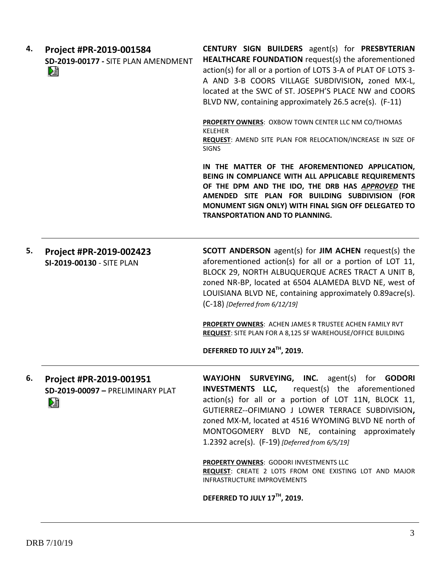| 4. | Project #PR-2019-001584<br>SD-2019-00177 - SITE PLAN AMENDMENT<br>L. | <b>CENTURY SIGN BUILDERS</b> agent(s) for <b>PRESBYTERIAN</b><br>HEALTHCARE FOUNDATION request(s) the aforementioned<br>action(s) for all or a portion of LOTS 3-A of PLAT OF LOTS 3-<br>A AND 3-B COORS VILLAGE SUBDIVISION, zoned MX-L,<br>located at the SWC of ST. JOSEPH'S PLACE NW and COORS<br>BLVD NW, containing approximately 26.5 acre(s). (F-11)               |
|----|----------------------------------------------------------------------|----------------------------------------------------------------------------------------------------------------------------------------------------------------------------------------------------------------------------------------------------------------------------------------------------------------------------------------------------------------------------|
|    |                                                                      | PROPERTY OWNERS: OXBOW TOWN CENTER LLC NM CO/THOMAS<br><b>KELEHER</b><br>REQUEST: AMEND SITE PLAN FOR RELOCATION/INCREASE IN SIZE OF<br><b>SIGNS</b>                                                                                                                                                                                                                       |
|    |                                                                      | IN THE MATTER OF THE AFOREMENTIONED APPLICATION,<br>BEING IN COMPLIANCE WITH ALL APPLICABLE REQUIREMENTS<br>OF THE DPM AND THE IDO, THE DRB HAS APPROVED THE<br>AMENDED SITE PLAN FOR BUILDING SUBDIVISION (FOR<br>MONUMENT SIGN ONLY) WITH FINAL SIGN OFF DELEGATED TO<br><b>TRANSPORTATION AND TO PLANNING.</b>                                                          |
| 5. | Project #PR-2019-002423<br>SI-2019-00130 - SITE PLAN                 | <b>SCOTT ANDERSON</b> agent(s) for <b>JIM ACHEN</b> request(s) the<br>aforementioned action(s) for all or a portion of LOT 11,<br>BLOCK 29, NORTH ALBUQUERQUE ACRES TRACT A UNIT B,<br>zoned NR-BP, located at 6504 ALAMEDA BLVD NE, west of<br>LOUISIANA BLVD NE, containing approximately 0.89acre(s).<br>$(C-18)$ [Deferred from 6/12/19]                               |
|    |                                                                      | PROPERTY OWNERS: ACHEN JAMES R TRUSTEE ACHEN FAMILY RVT<br><b>REQUEST:</b> SITE PLAN FOR A 8,125 SF WAREHOUSE/OFFICE BUILDING<br>DEFERRED TO JULY 24TH, 2019.                                                                                                                                                                                                              |
|    |                                                                      |                                                                                                                                                                                                                                                                                                                                                                            |
| 6. | Project #PR-2019-001951<br>SD-2019-00097 - PRELIMINARY PLAT<br>N     | WAYJOHN SURVEYING, INC. agent(s) for GODORI<br><b>INVESTMENTS LLC,</b> request(s) the aforementioned<br>action(s) for all or a portion of LOT 11N, BLOCK 11,<br>GUTIERREZ--OFIMIANO J LOWER TERRACE SUBDIVISION,<br>zoned MX-M, located at 4516 WYOMING BLVD NE north of<br>MONTOGOMERY BLVD NE, containing approximately<br>1.2392 acre(s). (F-19) [Deferred from 6/5/19] |
|    |                                                                      | PROPERTY OWNERS: GODORI INVESTMENTS LLC<br>REQUEST: CREATE 2 LOTS FROM ONE EXISTING LOT AND MAJOR<br><b>INFRASTRUCTURE IMPROVEMENTS</b>                                                                                                                                                                                                                                    |
|    |                                                                      | DEFERRED TO JULY 17TH, 2019.                                                                                                                                                                                                                                                                                                                                               |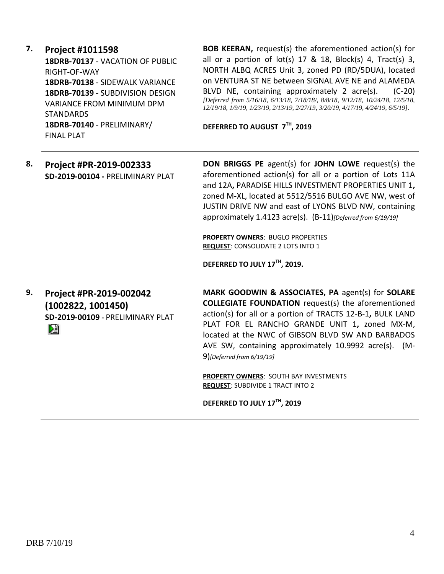**7. Project #1011598 18DRB-70137** - VACATION OF PUBLIC RIGHT-OF-WAY **18DRB-70138** - SIDEWALK VARIANCE **18DRB-70139** - SUBDIVISION DESIGN VARIANCE FROM MINIMUM DPM **STANDARDS 18DRB-70140** - PRELIMINARY/ FINAL PLAT

**BOB KEERAN,** request(s) the aforementioned action(s) for all or a portion of  $lot(s)$  17 & 18, Block(s) 4, Tract(s) 3, NORTH ALBQ ACRES Unit 3, zoned PD (RD/5DUA), located on VENTURA ST NE between SIGNAL AVE NE and ALAMEDA BLVD NE, containing approximately 2 acre(s). (C-20) *[Deferred from 5/16/18, 6/13/18, 7/18/18/, 8/8/18, 9/12/18, 10/24/18, 12/5/18, 12/19/18, 1/9/19, 1/23/19, 2/13/19, 2/27/19, 3/20/19, 4/17/19, 4/24/19, 6/5/19].*

**DEFERRED TO AUGUST 7 TH, 2019**

**8. Project #PR-2019-002333 SD-2019-00104 -** PRELIMINARY PLAT

**DON BRIGGS PE** agent(s) for **JOHN LOWE** request(s) the aforementioned action(s) for all or a portion of Lots 11A and 12A**,** PARADISE HILLS INVESTMENT PROPERTIES UNIT 1**,** zoned M-XL, located at 5512/5516 BULGO AVE NW, west of JUSTIN DRIVE NW and east of LYONS BLVD NW, containing approximately 1.4123 acre(s). (B-11)*[Deferred from 6/19/19]*

**PROPERTY OWNERS**: BUGLO PROPERTIES **REQUEST**: CONSOLIDATE 2 LOTS INTO 1

**DEFERRED TO JULY 17TH, 2019.**

**9. Project #PR-2019-002042 (1002822, 1001450) SD-2019-00109 -** PRELIMINARY PLAT Dà

**MARK GOODWIN & ASSOCIATES, PA** agent(s) for **SOLARE COLLEGIATE FOUNDATION** request(s) the aforementioned action(s) for all or a portion of TRACTS 12-B-1**,** BULK LAND PLAT FOR EL RANCHO GRANDE UNIT 1**,** zoned MX-M, located at the NWC of GIBSON BLVD SW AND BARBADOS AVE SW, containing approximately 10.9992 acre(s). (M-9)*[Deferred from 6/19/19]*

**PROPERTY OWNERS**: SOUTH BAY INVESTMENTS **REQUEST: SUBDIVIDE 1 TRACT INTO 2** 

**DEFERRED TO JULY 17TH, 2019**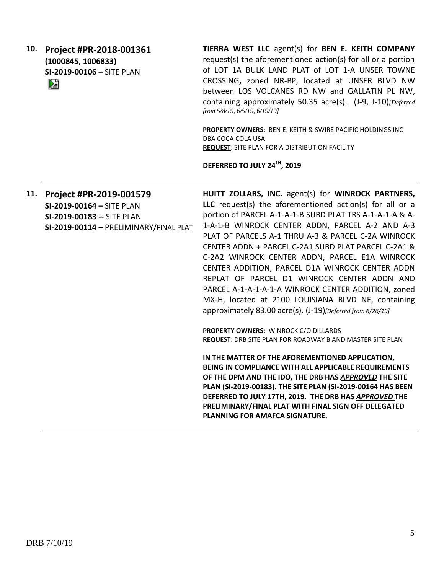**10. Project #PR-2018-001361 (1000845, 1006833) SI-2019-00106 –** SITE PLAN 

**TIERRA WEST LLC** agent(s) for **BEN E. KEITH COMPANY** request(s) the aforementioned action(s) for all or a portion of LOT 1A BULK LAND PLAT of LOT 1-A UNSER TOWNE CROSSING**,** zoned NR-BP, located at UNSER BLVD NW between LOS VOLCANES RD NW and GALLATIN PL NW, containing approximately 50.35 acre(s). (J-9, J-10)*[Deferred from 5/8/19, 6/5/19, 6/19/19]*

**PROPERTY OWNERS**: BEN E. KEITH & SWIRE PACIFIC HOLDINGS INC DBA COCA COLA USA **REQUEST**: SITE PLAN FOR A DISTRIBUTION FACILITY

**DEFERRED TO JULY 24TH, 2019**

**11. Project #PR-2019-001579**

**SI-2019-00164 –** SITE PLAN **SI-2019-00183 --** SITE PLAN **SI-2019-00114 –** PRELIMINARY/FINAL PLAT **HUITT ZOLLARS, INC.** agent(s) for **WINROCK PARTNERS, LLC** request(s) the aforementioned action(s) for all or a portion of PARCEL A-1-A-1-B SUBD PLAT TRS A-1-A-1-A & A-1-A-1-B WINROCK CENTER ADDN, PARCEL A-2 AND A-3 PLAT OF PARCELS A-1 THRU A-3 & PARCEL C-2A WINROCK CENTER ADDN + PARCEL C-2A1 SUBD PLAT PARCEL C-2A1 & C-2A2 WINROCK CENTER ADDN, PARCEL E1A WINROCK CENTER ADDITION, PARCEL D1A WINROCK CENTER ADDN REPLAT OF PARCEL D1 WINROCK CENTER ADDN AND PARCEL A-1-A-1-A-1-A WINROCK CENTER ADDITION, zoned MX-H, located at 2100 LOUISIANA BLVD NE, containing approximately 83.00 acre(s). (J-19)*[Deferred from 6/26/19]*

**PROPERTY OWNERS**: WINROCK C/O DILLARDS **REQUEST**: DRB SITE PLAN FOR ROADWAY B AND MASTER SITE PLAN

**IN THE MATTER OF THE AFOREMENTIONED APPLICATION, BEING IN COMPLIANCE WITH ALL APPLICABLE REQUIREMENTS OF THE DPM AND THE IDO, THE DRB HAS** *APPROVED* **THE SITE PLAN (SI-2019-00183). THE SITE PLAN (SI-2019-00164 HAS BEEN DEFERRED TO JULY 17TH, 2019. THE DRB HAS** *APPROVED* **THE PRELIMINARY/FINAL PLAT WITH FINAL SIGN OFF DELEGATED PLANNING FOR AMAFCA SIGNATURE.**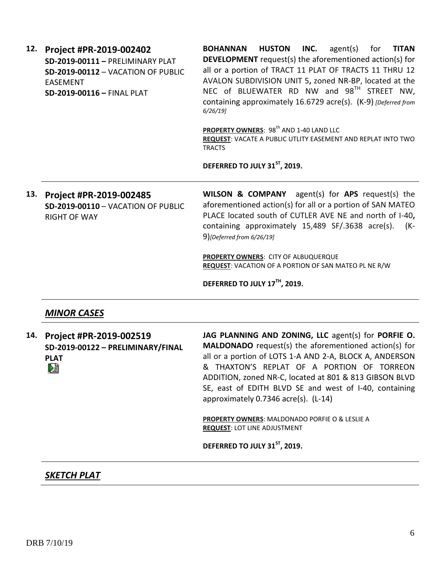**12. Project #PR-2019-002402 SD-2019-00111 –** PRELIMINARY PLAT **SD-2019-00112** – VACATION OF PUBLIC EASEMENT **SD-2019-00116 –** FINAL PLAT

**BOHANNAN HUSTON INC.** agent(s) for **TITAN DEVELOPMENT** request(s) the aforementioned action(s) for all or a portion of TRACT 11 PLAT OF TRACTS 11 THRU 12 AVALON SUBDIVISION UNIT 5**,** zoned NR-BP, located at the NEC of BLUEWATER RD NW and 98<sup>TH</sup> STREET NW, containing approximately 16.6729 acre(s). (K-9) *[Deferred from 6/26/19]*

**PROPERTY OWNERS: 98<sup>th</sup> AND 1-40 LAND LLC REQUEST**: VACATE A PUBLIC UTLITY EASEMENT AND REPLAT INTO TWO **TRACTS** 

**DEFERRED TO JULY 31ST, 2019.**

**13. Project #PR-2019-002485 SD-2019-00110** – VACATION OF PUBLIC RIGHT OF WAY

**WILSON & COMPANY** agent(s) for **APS** request(s) the aforementioned action(s) for all or a portion of SAN MATEO PLACE located south of CUTLER AVE NE and north of I-40**,** containing approximately 15,489 SF/.3638 acre(s). (K-9)*[Deferred from 6/26/19]*

**PROPERTY OWNERS**: CITY OF ALBUQUERQUE **REQUEST**: VACATION OF A PORTION OF SAN MATEO PL NE R/W

**DEFERRED TO JULY 17TH, 2019.**

### *MINOR CASES*

**14. Project #PR-2019-002519 SD-2019-00122 – PRELIMINARY/FINAL PLAT** ∄ל

**JAG PLANNING AND ZONING, LLC** agent(s) for **PORFIE O. MALDONADO** request(s) the aforementioned action(s) for all or a portion of LOTS 1-A AND 2-A, BLOCK A, ANDERSON & THAXTON'S REPLAT OF A PORTION OF TORREON ADDITION, zoned NR-C, located at 801 & 813 GIBSON BLVD SE, east of EDITH BLVD SE and west of I-40, containing approximately 0.7346 acre(s). (L-14)

**PROPERTY OWNERS**: MALDONADO PORFIE O & LESLIE A **REQUEST**: LOT LINE ADJUSTMENT

**DEFERRED TO JULY 31ST, 2019.**

## *SKETCH PLAT*